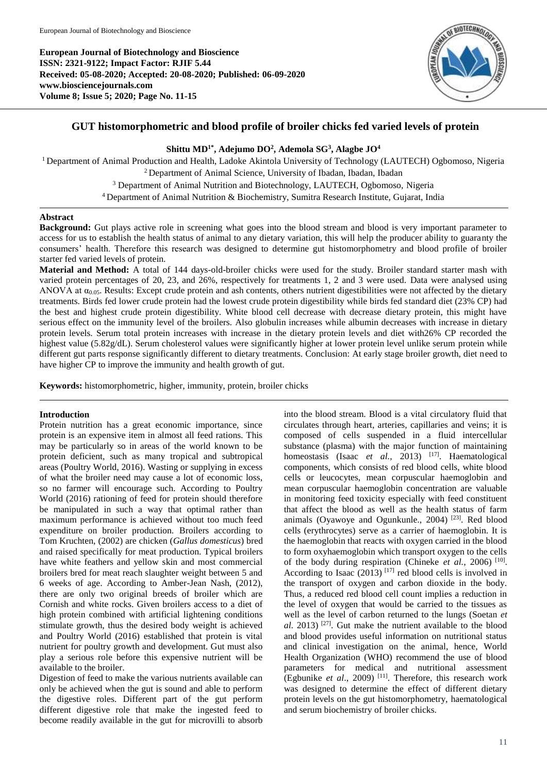**European Journal of Biotechnology and Bioscience ISSN: 2321-9122; Impact Factor: RJIF 5.44 Received: 05-08-2020; Accepted: 20-08-2020; Published: 06-09-2020 www.biosciencejournals.com Volume 8; Issue 5; 2020; Page No. 11-15**



# **GUT histomorphometric and blood profile of broiler chicks fed varied levels of protein**

**Shittu MD1\*, Adejumo DO<sup>2</sup> , Ademola SG<sup>3</sup> , Alagbe JO<sup>4</sup>**

<sup>1</sup> Department of Animal Production and Health, Ladoke Akintola University of Technology (LAUTECH) Ogbomoso, Nigeria <sup>2</sup>Department of Animal Science, University of Ibadan, Ibadan, Ibadan <sup>3</sup> Department of Animal Nutrition and Biotechnology, LAUTECH, Ogbomoso, Nigeria <sup>4</sup>Department of Animal Nutrition & Biochemistry, Sumitra Research Institute, Gujarat, India

## **Abstract**

**Background:** Gut plays active role in screening what goes into the blood stream and blood is very important parameter to access for us to establish the health status of animal to any dietary variation, this will help the producer ability to guaranty the consumers' health. Therefore this research was designed to determine gut histomorphometry and blood profile of broiler starter fed varied levels of protein.

**Material and Method:** A total of 144 days-old-broiler chicks were used for the study. Broiler standard starter mash with varied protein percentages of 20, 23, and 26%, respectively for treatments 1, 2 and 3 were used. Data were analysed using ANOVA at  $\alpha_{0.05}$ . Results: Except crude protein and ash contents, others nutrient digestibilities were not affected by the dietary treatments. Birds fed lower crude protein had the lowest crude protein digestibility while birds fed standard diet (23% CP) had the best and highest crude protein digestibility. White blood cell decrease with decrease dietary protein, this might have serious effect on the immunity level of the broilers. Also globulin increases while albumin decreases with increase in dietary protein levels. Serum total protein increases with increase in the dietary protein levels and diet with26% CP recorded the highest value (5.82g/dL). Serum cholesterol values were significantly higher at lower protein level unlike serum protein while different gut parts response significantly different to dietary treatments. Conclusion: At early stage broiler growth, diet need to have higher CP to improve the immunity and health growth of gut.

**Keywords:** histomorphometric, higher, immunity, protein, broiler chicks

## **Introduction**

Protein nutrition has a great economic importance, since protein is an expensive item in almost all feed rations. This may be particularly so in areas of the world known to be protein deficient, such as many tropical and subtropical areas (Poultry World, 2016). Wasting or supplying in excess of what the broiler need may cause a lot of economic loss, so no farmer will encourage such. According to Poultry World (2016) rationing of feed for protein should therefore be manipulated in such a way that optimal rather than maximum performance is achieved without too much feed expenditure on broiler production. Broilers according to Tom Kruchten, (2002) are chicken (*Gallus domesticus*) bred and raised specifically for meat production. Typical broilers have white feathers and yellow skin and most commercial broilers bred for meat reach slaughter weight between 5 and 6 weeks of age. According to Amber-Jean Nash, (2012), there are only two original breeds of broiler which are Cornish and white rocks. Given broilers access to a diet of high protein combined with artificial lightening conditions stimulate growth, thus the desired body weight is achieved and Poultry World (2016) established that protein is vital nutrient for poultry growth and development. Gut must also play a serious role before this expensive nutrient will be available to the broiler.

Digestion of feed to make the various nutrients available can only be achieved when the gut is sound and able to perform the digestive roles. Different part of the gut perform different digestive role that make the ingested feed to become readily available in the gut for microvilli to absorb

into the blood stream. Blood is a vital circulatory fluid that circulates through heart, arteries, capillaries and veins; it is composed of cells suspended in a fluid intercellular substance (plasma) with the major function of maintaining homeostasis (Isaac *et al.*, 2013) <sup>[17]</sup>. Haematological components, which consists of red blood cells, white blood cells or leucocytes, mean corpuscular haemoglobin and mean corpuscular haemoglobin concentration are valuable in monitoring feed toxicity especially with feed constituent that affect the blood as well as the health status of farm animals (Oyawoye and Ogunkunle., 2004) [23]. Red blood cells (erythrocytes) serve as a carrier of haemoglobin. It is the haemoglobin that reacts with oxygen carried in the blood to form oxyhaemoglobin which transport oxygen to the cells of the body during respiration (Chineke et al., 2006)<sup>[10]</sup>. According to Isaac  $(2013)$ <sup>[17]</sup> red blood cells is involved in the transport of oxygen and carbon dioxide in the body. Thus, a reduced red blood cell count implies a reduction in the level of oxygen that would be carried to the tissues as well as the level of carbon returned to the lungs (Soetan *et al*. 2013) [27]. Gut make the nutrient available to the blood and blood provides useful information on nutritional status and clinical investigation on the animal, hence, World Health Organization (WHO) recommend the use of blood parameters for medical and nutritional assessment (Egbunike *et al.*, 2009)<sup>[11]</sup>. Therefore, this research work was designed to determine the effect of different dietary protein levels on the gut histomorphometry, haematological and serum biochemistry of broiler chicks.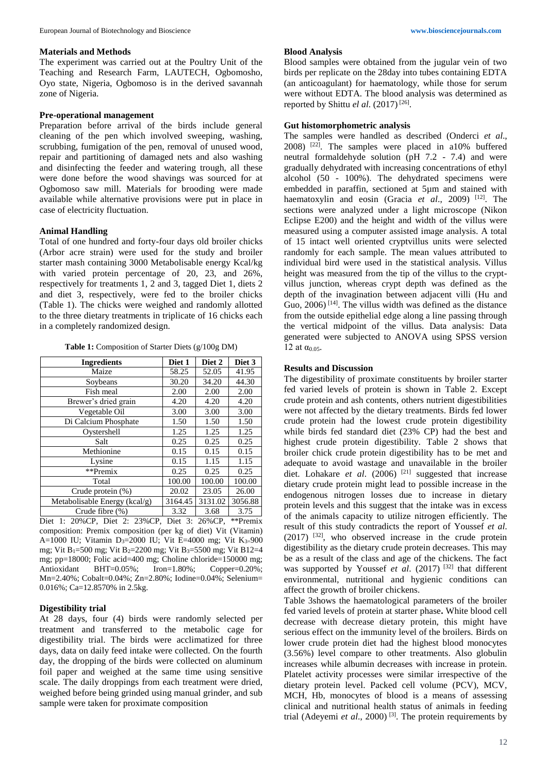#### **Materials and Methods**

The experiment was carried out at the Poultry Unit of the Teaching and Research Farm, LAUTECH, Ogbomosho, Oyo state, Nigeria, Ogbomoso is in the derived savannah zone of Nigeria.

#### **Pre-operational management**

Preparation before arrival of the birds include general cleaning of the pen which involved sweeping, washing, scrubbing, fumigation of the pen, removal of unused wood, repair and partitioning of damaged nets and also washing and disinfecting the feeder and watering trough, all these were done before the wood shavings was sourced for at Ogbomoso saw mill. Materials for brooding were made available while alternative provisions were put in place in case of electricity fluctuation.

#### **Animal Handling**

Total of one hundred and forty-four days old broiler chicks (Arbor acre strain) were used for the study and broiler starter mash containing 3000 Metabolisable energy Kcal/kg with varied protein percentage of 20, 23, and 26%, respectively for treatments 1, 2 and 3, tagged Diet 1, diets 2 and diet 3, respectively, were fed to the broiler chicks (Table 1). The chicks were weighed and randomly allotted to the three dietary treatments in triplicate of 16 chicks each in a completely randomized design.

**Table 1:** Composition of Starter Diets (g/100g DM)

| <b>Ingredients</b>                                              | Diet 1                          | Diet 2  | Diet 3              |
|-----------------------------------------------------------------|---------------------------------|---------|---------------------|
| Maize                                                           | 58.25                           | 52.05   | 41.95               |
| Soybeans                                                        | 30.20                           | 34.20   | 44.30               |
| Fish meal                                                       | 2.00                            | 2.00    | 2.00                |
| Brewer's dried grain                                            | 4.20                            | 4.20    | 4.20                |
| Vegetable Oil                                                   | 3.00                            | 3.00    | 3.00                |
| Di Calcium Phosphate                                            | 1.50                            | 1.50    | 1.50                |
| Oystershell                                                     | 1.25                            | 1.25    | 1.25                |
| Salt                                                            | 0.25                            | 0.25    | 0.25                |
| Methionine                                                      | 0.15                            | 0.15    | 0.15                |
| Lysine                                                          | 0.15                            | 1.15    | 1.15                |
| **Premix                                                        | 0.25                            | 0.25    | 0.25                |
| Total                                                           | 100.00                          | 100.00  | 100.00              |
| Crude protein (%)                                               | 20.02                           | 23.05   | 26.00               |
| Metabolisable Energy (kcal/g)                                   | 3164.45                         | 3131.02 | 3056.88             |
| Crude fibre (%)                                                 | 3.32                            | 3.68    | 3.75                |
| $\Gamma_{\rm tot}$ 1. $20\%$ CD $\Gamma_{\rm tot}$ 2. $20\%$ CD | $\Gamma_{\rm tot}$ 3. $26\%$ CD |         | $*$ <i>k</i> Dramiy |

Diet 1: 20%CP, Diet 2: 23%CP, Diet 3: 26%CP, \*\*Premix composition: Premix composition (per kg of diet) Vit (Vitamin) A=1000 IU; Vitamin D<sub>3</sub>=2000 IU; Vit E=4000 mg; Vit K<sub>3=</sub>900 mg; Vit B1=500 mg; Vit B2=2200 mg; Vit B3=5500 mg; Vit B12=4 mg; pp=18000; Folic acid=400 mg; Choline chloride=150000 mg; Antioxidant BHT=0.05%; Iron=1.80%; Copper=0.20%; Mn=2.40%; Cobalt=0.04%; Zn=2.80%; Iodine=0.04%; Selenium= 0.016%; Ca=12.8570% in 2.5kg.

#### **Digestibility trial**

At 28 days, four (4) birds were randomly selected per treatment and transferred to the metabolic cage for digestibility trial. The birds were acclimatized for three days, data on daily feed intake were collected. On the fourth day, the dropping of the birds were collected on aluminum foil paper and weighed at the same time using sensitive scale. The daily droppings from each treatment were dried, weighed before being grinded using manual grinder, and sub sample were taken for proximate composition

#### **Blood Analysis**

Blood samples were obtained from the jugular vein of two birds per replicate on the 28day into tubes containing EDTA (an anticoagulant) for haematology, while those for serum were without EDTA. The blood analysis was determined as reported by Shittu *el al*. (2017) [26] .

### **Gut histomorphometric analysis**

The samples were handled as described (Onderci *et al*.,  $2008$ ) <sup>[22]</sup>. The samples were placed in a10% buffered neutral formaldehyde solution (pH 7.2 - 7.4) and were gradually dehydrated with increasing concentrations of ethyl alcohol (50 - 100%). The dehydrated specimens were embedded in paraffin, sectioned at 5µm and stained with haematoxylin and eosin (Gracia et al., 2009) <sup>[12]</sup>. The sections were analyzed under a light microscope (Nikon Eclipse E200) and the height and width of the villus were measured using a computer assisted image analysis. A total of 15 intact well oriented cryptvillus units were selected randomly for each sample. The mean values attributed to individual bird were used in the statistical analysis. Villus height was measured from the tip of the villus to the cryptvillus junction, whereas crypt depth was defined as the depth of the invagination between adjacent villi (Hu and Guo,  $2006$ <sup>[14]</sup>. The villus width was defined as the distance from the outside epithelial edge along a line passing through the vertical midpoint of the villus. Data analysis: Data generated were subjected to ANOVA using SPSS version 12 at  $α_{0.05}$ .

### **Results and Discussion**

The digestibility of proximate constituents by broiler starter fed varied levels of protein is shown in Table 2. Except crude protein and ash contents, others nutrient digestibilities were not affected by the dietary treatments. Birds fed lower crude protein had the lowest crude protein digestibility while birds fed standard diet (23% CP) had the best and highest crude protein digestibility. Table 2 shows that broiler chick crude protein digestibility has to be met and adequate to avoid wastage and unavailable in the broiler diet. Lohakare *et al.* (2006)<sup>[21]</sup> suggested that increase dietary crude protein might lead to possible increase in the endogenous nitrogen losses due to increase in dietary protein levels and this suggest that the intake was in excess of the animals capacity to utilize nitrogen efficiently. The result of this study contradicts the report of Youssef *et al*.  $(2017)$  <sup>[32]</sup>, who observed increase in the crude protein digestibility as the dietary crude protein decreases. This may be as a result of the class and age of the chickens. The fact was supported by Youssef et al. (2017)<sup>[32]</sup> that different environmental, nutritional and hygienic conditions can affect the growth of broiler chickens.

Table 3shows the haematological parameters of the broiler fed varied levels of protein at starter phase**.** White blood cell decrease with decrease dietary protein, this might have serious effect on the immunity level of the broilers. Birds on lower crude protein diet had the highest blood monocytes (3.56%) level compare to other treatments. Also globulin increases while albumin decreases with increase in protein. Platelet activity processes were similar irrespective of the dietary protein level. Packed cell volume (PCV), MCV, MCH, Hb, monocytes of blood is a means of assessing clinical and nutritional health status of animals in feeding trial (Adeyemi *et al*., 2000) [3]. The protein requirements by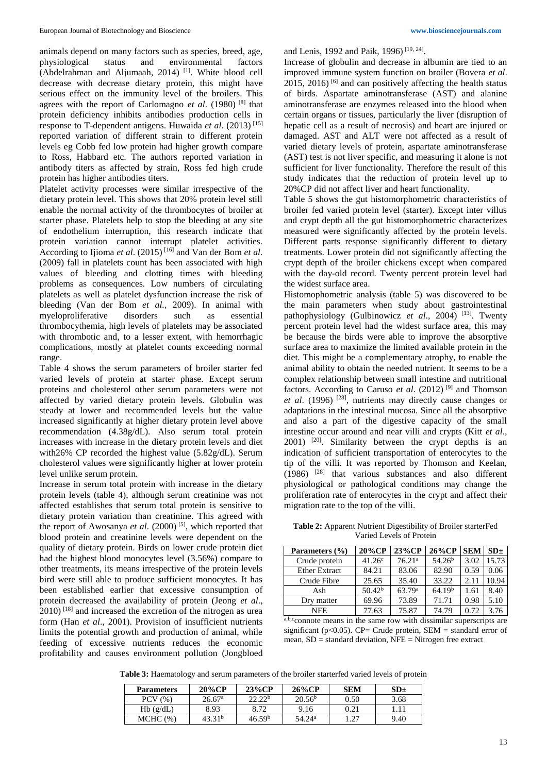animals depend on many factors such as species, breed, age, physiological status and environmental factors (Abdelrahman and Aljumaah, 2014) [1]. White blood cell decrease with decrease dietary protein, this might have serious effect on the immunity level of the broilers. This agrees with the report of Carlomagno *et al*. (1980) [8] that protein deficiency inhibits antibodies production cells in response to T-dependent antigens. Huwaida *et al*. (2013) [15] reported variation of different strain to different protein levels eg Cobb fed low protein had higher growth compare to Ross, Habbard etc. The authors reported variation in antibody titers as affected by strain, Ross fed high crude protein has higher antibodies titers.

Platelet activity processes were similar irrespective of the dietary protein level. This shows that 20% protein level still enable the normal activity of the thrombocytes of broiler at starter phase. Platelets help to stop the bleeding at any site of endothelium interruption, this research indicate that protein variation cannot interrupt platelet activities. According to Ijioma *et al*. (2015) [16] and Van der Bom *et al.* (2009) fall in platelets count has been associated with high values of bleeding and clotting times with bleeding problems as consequences. Low numbers of circulating platelets as well as platelet dysfunction increase the risk of bleeding (Van der Bom *et al.,* 2009). In animal with myeloproliferative disorders such as essential thrombocythemia, high levels of platelets may be associated with thrombotic and, to a lesser extent, with hemorrhagic complications, mostly at platelet counts exceeding normal range.

Table 4 shows the serum parameters of broiler starter fed varied levels of protein at starter phase. Except serum proteins and cholesterol other serum parameters were not affected by varied dietary protein levels. Globulin was steady at lower and recommended levels but the value increased significantly at higher dietary protein level above recommendation (4.38g/dL). Also serum total protein increases with increase in the dietary protein levels and diet with26% CP recorded the highest value (5.82g/dL). Serum cholesterol values were significantly higher at lower protein level unlike serum protein.

Increase in serum total protein with increase in the dietary protein levels (table 4), although serum creatinine was not affected establishes that serum total protein is sensitive to dietary protein variation than creatinine. This agreed with the report of Awosanya et al. (2000)<sup>[5]</sup>, which reported that blood protein and creatinine levels were dependent on the quality of dietary protein. Birds on lower crude protein diet had the highest blood monocytes level (3.56%) compare to other treatments, its means irrespective of the protein levels bird were still able to produce sufficient monocytes. It has been established earlier that excessive consumption of protein decreased the availability of protein (Jeong *et al*.,  $2010$ ) <sup>[18]</sup> and increased the excretion of the nitrogen as urea form (Han *et al*., 2001). Provision of insufficient nutrients limits the potential growth and production of animal, while feeding of excessive nutrients reduces the economic profitability and causes environment pollution (Jongbloed

and Lenis, 1992 and Paik, 1996)<sup>[19, 24]</sup>.

Increase of globulin and decrease in albumin are tied to an improved immune system function on broiler (Bovera *et al*. 2015, 2016) <sup>[6]</sup> and can positively affecting the health status of birds. Aspartate aminotransferase (AST) and alanine aminotransferase are enzymes released into the blood when certain organs or tissues, particularly the liver (disruption of hepatic cell as a result of necrosis) and heart are injured or damaged. AST and ALT were not affected as a result of varied dietary levels of protein, aspartate aminotransferase (AST) test is not liver specific, and measuring it alone is not sufficient for liver functionality. Therefore the result of this study indicates that the reduction of protein level up to 20%CP did not affect liver and heart functionality.

Table 5 shows the gut histomorphometric characteristics of broiler fed varied protein level (starter). Except inter villus and crypt depth all the gut histomorphometric characterizes measured were significantly affected by the protein levels. Different parts response significantly different to dietary treatments. Lower protein did not significantly affecting the crypt depth of the broiler chickens except when compared with the day-old record. Twenty percent protein level had the widest surface area.

Histomophometric analysis (table 5) was discovered to be the main parameters when study about gastrointestinal pathophysiology (Gulbinowicz et al., 2004) [13]. Twenty percent protein level had the widest surface area, this may be because the birds were able to improve the absorptive surface area to maximize the limited available protein in the diet. This might be a complementary atrophy, to enable the animal ability to obtain the needed nutrient. It seems to be a complex relationship between small intestine and nutritional factors. According to Caruso *et al*. (2012) [9] and Thomson *et al*. (1996) [28], nutrients may directly cause changes or adaptations in the intestinal mucosa. Since all the absorptive and also a part of the digestive capacity of the small intestine occur around and near villi and crypts (Kitt *et al*., 2001) [20]. Similarity between the crypt depths is an indication of sufficient transportation of enterocytes to the tip of the villi. It was reported by Thomson and Keelan, (1986) [28] that various substances and also different physiological or pathological conditions may change the proliferation rate of enterocytes in the crypt and affect their migration rate to the top of the villi.

**Table 2:** Apparent Nutrient Digestibility of Broiler starterFed Varied Levels of Protein

| Parameters (%)       | 20%CP              | 23%CP              | 26%CP              | <b>SEM</b> | SD <sub>±</sub> |
|----------------------|--------------------|--------------------|--------------------|------------|-----------------|
| Crude protein        | 41.26 <sup>c</sup> | 76.21 <sup>a</sup> | 54.26 <sup>b</sup> | 3.02       | 15.73           |
| <b>Ether Extract</b> | 84.21              | 83.06              | 82.90              | 0.59       | 0.06            |
| Crude Fibre          | 25.65              | 35.40              | 33.22              | 2.11       | 10.94           |
| Ash                  | 50.42 <sup>b</sup> | 63.79 <sup>a</sup> | 64.19 <sup>b</sup> | 1.61       | 8.40            |
| Dry matter           | 69.96              | 73.89              | 71.71              | 0.98       | 5.10            |
| NFE.                 | 77.63              | 75.87              | 74.79              | 0.72       | 376             |

a,b,c<sub>connote</sub> means in the same row with dissimilar superscripts are significant ( $p<0.05$ ). CP= Crude protein, SEM = standard error of mean, SD = standard deviation, NFE = Nitrogen free extract

**Table 3:** Haematology and serum parameters of the broiler starterfed varied levels of protein

| <b>Parameters</b> | 20%CP              | $23\%CP$           | $26\%CP$           | <b>SEM</b> | SD <sub>±</sub> |
|-------------------|--------------------|--------------------|--------------------|------------|-----------------|
| PCV(%)            | $26.67^{\rm a}$    | 22.22 <sup>b</sup> | 20.56 <sup>b</sup> | 0.50       | 3.68            |
| Hb(g/dL)          | 8.93               | 8.72               | 9.16               | 0.21       |                 |
| MCHC (%)          | 43.31 <sup>b</sup> | 46.59 <sup>b</sup> | $54.24^{\rm a}$    | 1.27       | 9.40            |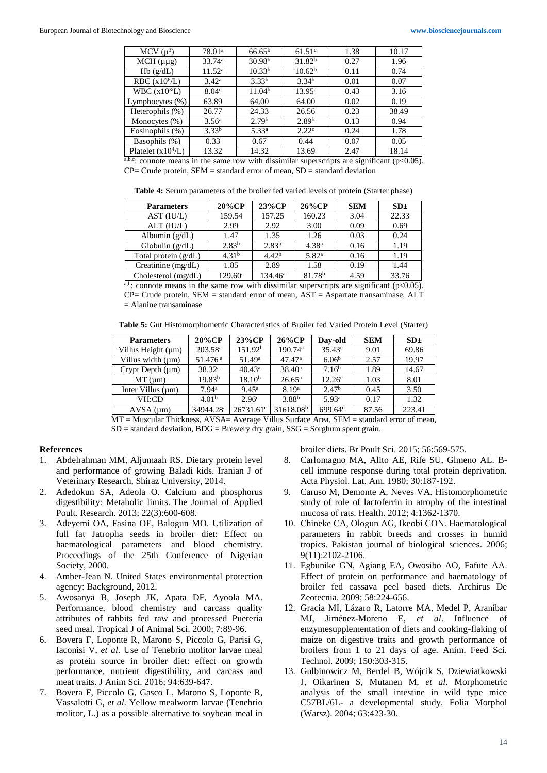| MCV $(\mu^3)$             | 78.01 <sup>a</sup> | $66.65^{\rm b}$    | 61.51 <sup>c</sup> | 1.38 | 10.17 |
|---------------------------|--------------------|--------------------|--------------------|------|-------|
| $MCH(\mu\mu g)$           | 33.74 <sup>a</sup> | 30.98 <sup>b</sup> | 31.82 <sup>b</sup> | 0.27 | 1.96  |
| Hb(g/dL)                  | $11.52^{\rm a}$    | 10.33 <sup>b</sup> | 10.62 <sup>b</sup> | 0.11 | 0.74  |
| RBC $(x106/L)$            | 3.42 <sup>a</sup>  | $3.33^{b}$         | 3.34 <sup>b</sup>  | 0.01 | 0.07  |
| WBC (x10 <sup>3</sup> /L) | 8.04 <sup>c</sup>  | 11.04 <sup>b</sup> | $13.95^{\rm a}$    | 0.43 | 3.16  |
| Lymphocytes $(\%)$        | 63.89              | 64.00              | 64.00              | 0.02 | 0.19  |
| Heterophils $(\%)$        | 26.77              | 24.33              | 26.56              | 0.23 | 38.49 |
| Monocytes $(\%)$          | 3.56 <sup>a</sup>  | 2.79 <sup>b</sup>  | 2.89 <sup>b</sup>  | 0.13 | 0.94  |
| Eosinophils $(\%)$        | 3.33 <sup>b</sup>  | $5.33^{a}$         | 2.22 <sup>c</sup>  | 0.24 | 1.78  |
| Basophils (%)             | 0.33               | 0.67               | 0.44               | 0.07 | 0.05  |
| Platelet $(x10^4/L)$      | 13.32              | 14.32              | 13.69              | 2.47 | 18.14 |

a,b,c: connote means in the same row with dissimilar superscripts are significant ( $p$ <0.05).  $CP=$  Crude protein,  $SEM =$  standard error of mean,  $SD =$  standard deviation

**Table 4:** Serum parameters of the broiler fed varied levels of protein (Starter phase)

| <b>Parameters</b>      | 20%CP             | 23%CP             | 26%CP              | <b>SEM</b> | SD <sub>±</sub> |
|------------------------|-------------------|-------------------|--------------------|------------|-----------------|
| AST (IU/L)             | 159.54            | 157.25            | 160.23             | 3.04       | 22.33           |
| $ALT$ ( $IU/L$ )       | 2.99              | 2.92              | 3.00               | 0.09       | 0.69            |
| Albumin $(g/dL)$       | 1.47              | 1.35              | 1.26               | 0.03       | 0.24            |
| Globulin $(g/dL)$      | $2.83^{b}$        | $2.83^{b}$        | 4.38 <sup>a</sup>  | 0.16       | 1.19            |
| Total protein $(g/dL)$ | 4.31 <sup>b</sup> | 4.42 <sup>b</sup> | 5.82 <sup>a</sup>  | 0.16       | 1.19            |
| Creatinine (mg/dL)     | 1.85              | 2.89              | 1.58               | 0.19       | 1.44            |
| Cholesterol $(mg/dL)$  | $129.60^{\circ}$  | $134.46^{\rm a}$  | 81.78 <sup>b</sup> | 4.59       | 33.76           |

a,b: connote means in the same row with dissimilar superscripts are significant ( $p$ <0.05). CP= Crude protein, SEM = standard error of mean, AST = Aspartate transaminase, ALT = Alanine transaminase

**Table 5:** Gut Histomorphometric Characteristics of Broiler fed Varied Protein Level (Starter)

| <b>Parameters</b>      | 20%CP                 | 23%CP               | $26\%CP$              | Day-old             | <b>SEM</b> | SD <sub>±</sub> |
|------------------------|-----------------------|---------------------|-----------------------|---------------------|------------|-----------------|
| Villus Height (µm)     | $203.58^{\rm a}$      | 151.92 <sup>b</sup> | 190.74 <sup>a</sup>   | $35.43^{\circ}$     | 9.01       | 69.86           |
| Villus width $(\mu m)$ | $51.476$ <sup>a</sup> | $51.49^{\rm a}$     | $47.47^{\rm a}$       | 6.06 <sup>b</sup>   | 2.57       | 19.97           |
| Crypt Depth $(\mu m)$  | 38.32 <sup>a</sup>    | $40.43^{\rm a}$     | $38.40^a$             | 7.16 <sup>b</sup>   | 1.89       | 14.67           |
| $MT \,(\mu m)$         | 19.83 <sup>b</sup>    | $18.10^{b}$         | $26.65^{\rm a}$       | $12.26^{\circ}$     | 1.03       | 8.01            |
| Inter Villus $(\mu m)$ | 7.94 <sup>a</sup>     | $9.45^{\rm a}$      | 8.19 <sup>a</sup>     | 2.47 <sup>b</sup>   | 0.45       | 3.50            |
| VH:CD                  | 4.01 <sup>b</sup>     | 2.96 <sup>c</sup>   | 3.88 <sup>b</sup>     | 5.93 <sup>a</sup>   | 0.17       | 1.32            |
| $AVSA$ ( $\mu$ m)      | 34944.28 <sup>a</sup> | $26731.61^{\circ}$  | 31618.08 <sup>b</sup> | 699.64 <sup>d</sup> | 87.56      | 223.41          |

MT = Muscular Thickness, AVSA= Average Villus Surface Area, SEM = standard error of mean,  $SD =$  standard deviation,  $BDG =$  Brewery dry grain,  $SSG =$  Sorghum spent grain.

#### **References**

- 1. Abdelrahman MM, Aljumaah RS. Dietary protein level and performance of growing Baladi kids. Iranian J of Veterinary Research, Shiraz University, 2014.
- 2. Adedokun SA, Adeola O. Calcium and phosphorus digestibility: Metabolic limits. The Journal of Applied Poult. Research. 2013; 22(3):600-608.
- 3. Adeyemi OA, Fasina OE, Balogun MO. Utilization of full fat Jatropha seeds in broiler diet: Effect on haematological parameters and blood chemistry. Proceedings of the 25th Conference of Nigerian Society, 2000.
- 4. Amber-Jean N. United States environmental protection agency: Background, 2012.
- 5. Awosanya B, Joseph JK, Apata DF, Ayoola MA. Performance, blood chemistry and carcass quality attributes of rabbits fed raw and processed Puereria seed meal. Tropical J of Animal Sci. 2000; 7:89-96.
- 6. Bovera F, Loponte R, Marono S, Piccolo G, Parisi G, Iaconisi V, *et al*. Use of Tenebrio molitor larvae meal as protein source in broiler diet: effect on growth performance, nutrient digestibility, and carcass and meat traits. J Anim Sci. 2016; 94:639-647.
- 7. Bovera F, Piccolo G, Gasco L, Marono S, Loponte R, Vassalotti G, *et al*. Yellow mealworm larvae (Tenebrio molitor, L.) as a possible alternative to soybean meal in

broiler diets. Br Poult Sci. 2015; 56:569-575.

- 8. Carlomagno MA, Alito AE, Rife SU, Glmeno AL. Bcell immune response during total protein deprivation. Acta Physiol. Lat. Am. 1980; 30:187-192.
- 9. Caruso M, Demonte A, Neves VA. Histomorphometric study of role of lactoferrin in atrophy of the intestinal mucosa of rats. Health. 2012; 4:1362-1370.
- 10. Chineke CA, Ologun AG, Ikeobi CON. Haematological parameters in rabbit breeds and crosses in humid tropics. Pakistan journal of biological sciences. 2006; 9(11):2102-2106.
- 11. Egbunike GN, Agiang EA, Owosibo AO, Fafute AA. Effect of protein on performance and haematology of broiler fed cassava peel based diets. Archirus De Zeotecnia. 2009; 58:224-656.
- 12. Gracia MI, Lázaro R, Latorre MA, Medel P, Araníbar MJ, Jiménez-Moreno E, *et al*. Influence of enzymesupplementation of diets and cooking-flaking of maize on digestive traits and growth performance of broilers from 1 to 21 days of age. Anim. Feed Sci. Technol. 2009; 150:303-315.
- 13. Gulbinowicz M, Berdel B, Wójcik S, Dziewiatkowski J, Oikarinen S, Mutanen M, *et al*. Morphometric analysis of the small intestine in wild type mice C57BL/6L- a developmental study. Folia Morphol (Warsz). 2004; 63:423-30.